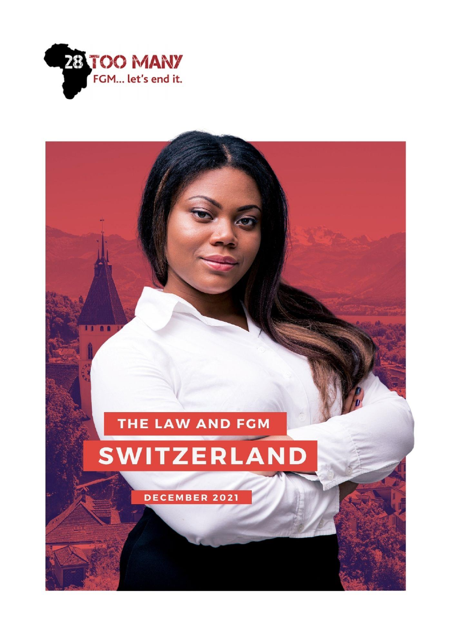

**IT 88** 

# THE LAW AND FGM

# SWITZERLAND

DECEMBER 2021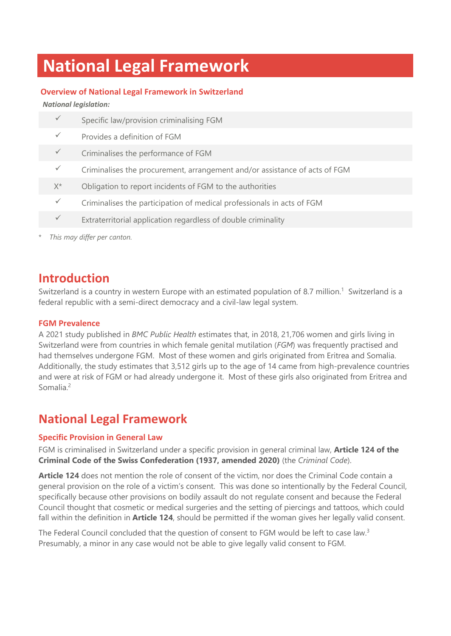# **National Legal Framework**

#### **Overview of National Legal Framework in Switzerland**

*National legislation:*

|              | Specific law/provision criminalising FGM                                   |
|--------------|----------------------------------------------------------------------------|
| $\checkmark$ | Provides a definition of FGM                                               |
| $\checkmark$ | Criminalises the performance of FGM                                        |
| $\checkmark$ | Criminalises the procurement, arrangement and/or assistance of acts of FGM |
| $X^*$        | Obligation to report incidents of FGM to the authorities                   |
| $\checkmark$ | Criminalises the participation of medical professionals in acts of FGM     |
| $\checkmark$ | Extraterritorial application regardless of double criminality              |
|              |                                                                            |

*This may differ per canton.* 

### **Introduction**

Switzerland is a country in western Europe with an estimated population of 8.7 million.<sup>1</sup> Switzerland is a federal republic with a semi-direct democracy and a civil-law legal system.

#### **FGM Prevalence**

A 2021 study published in *BMC Public Health* estimates that, in 2018, 21,706 women and girls living in Switzerland were from countries in which female genital mutilation (*FGM*) was frequently practised and had themselves undergone FGM. Most of these women and girls originated from Eritrea and Somalia. Additionally, the study estimates that 3,512 girls up to the age of 14 came from high-prevalence countries and were at risk of FGM or had already undergone it. Most of these girls also originated from Eritrea and Somalia<sup>2</sup>

### **National Legal Framework**

#### **Specific Provision in General Law**

FGM is criminalised in Switzerland under a specific provision in general criminal law, **Article 124 of the Criminal Code of the Swiss Confederation (1937, amended 2020)** (the *Criminal Code*).

**Article 124** does not mention the role of consent of the victim, nor does the Criminal Code contain a general provision on the role of a victim's consent. This was done so intentionally by the Federal Council, specifically because other provisions on bodily assault do not regulate consent and because the Federal Council thought that cosmetic or medical surgeries and the setting of piercings and tattoos, which could fall within the definition in **Article 124**, should be permitted if the woman gives her legally valid consent.

The Federal Council concluded that the question of consent to FGM would be left to case law.<sup>3</sup> Presumably, a minor in any case would not be able to give legally valid consent to FGM.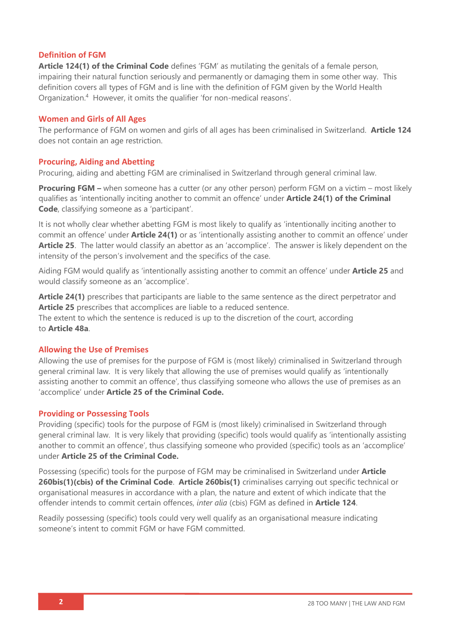#### **Definition of FGM**

**Article 124(1) of the Criminal Code** defines 'FGM' as mutilating the genitals of a female person, impairing their natural function seriously and permanently or damaging them in some other way. This definition covers all types of FGM and is line with the definition of FGM given by the World Health Organization.<sup>4</sup> However, it omits the qualifier 'for non-medical reasons'.

#### **Women and Girls of All Ages**

The performance of FGM on women and girls of all ages has been criminalised in Switzerland. **Article 124** does not contain an age restriction.

#### **Procuring, Aiding and Abetting**

Procuring, aiding and abetting FGM are criminalised in Switzerland through general criminal law.

**Procuring FGM –** when someone has a cutter (or any other person) perform FGM on a victim – most likely qualifies as 'intentionally inciting another to commit an offence' under **Article 24(1) of the Criminal Code**, classifying someone as a 'participant'.

It is not wholly clear whether abetting FGM is most likely to qualify as 'intentionally inciting another to commit an offence' under **Article 24(1)** or as 'intentionally assisting another to commit an offence' under **Article 25**. The latter would classify an abettor as an 'accomplice'. The answer is likely dependent on the intensity of the person's involvement and the specifics of the case.

Aiding FGM would qualify as 'intentionally assisting another to commit an offence' under **Article 25** and would classify someone as an 'accomplice'.

**Article 24(1)** prescribes that participants are liable to the same sentence as the direct perpetrator and **Article 25** prescribes that accomplices are liable to a reduced sentence. The extent to which the sentence is reduced is up to the discretion of the court, according to **Article 48a**.

#### **Allowing the Use of Premises**

Allowing the use of premises for the purpose of FGM is (most likely) criminalised in Switzerland through general criminal law. It is very likely that allowing the use of premises would qualify as 'intentionally assisting another to commit an offence', thus classifying someone who allows the use of premises as an 'accomplice' under **Article 25 of the Criminal Code.** 

#### **Providing or Possessing Tools**

Providing (specific) tools for the purpose of FGM is (most likely) criminalised in Switzerland through general criminal law. It is very likely that providing (specific) tools would qualify as 'intentionally assisting another to commit an offence', thus classifying someone who provided (specific) tools as an 'accomplice' under **Article 25 of the Criminal Code.** 

Possessing (specific) tools for the purpose of FGM may be criminalised in Switzerland under **Article 260bis(1)(cbis) of the Criminal Code**. **Article 260bis(1)** criminalises carrying out specific technical or organisational measures in accordance with a plan, the nature and extent of which indicate that the offender intends to commit certain offences, *inter alia* (cbis) FGM as defined in **Article 124**.

Readily possessing (specific) tools could very well qualify as an organisational measure indicating someone's intent to commit FGM or have FGM committed.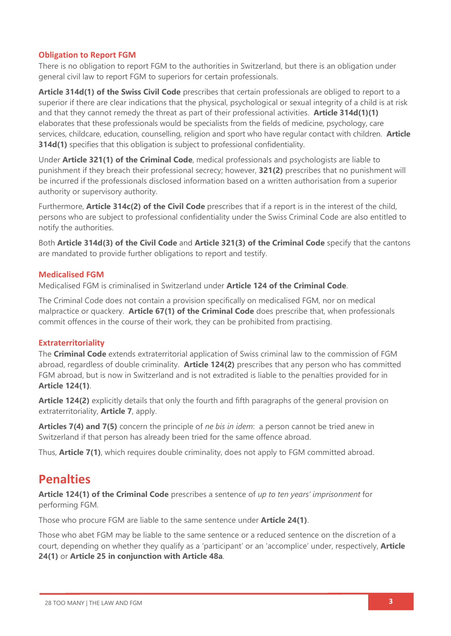#### **Obligation to Report FGM**

There is no obligation to report FGM to the authorities in Switzerland, but there is an obligation under general civil law to report FGM to superiors for certain professionals.

**Article 314d(1) of the Swiss Civil Code** prescribes that certain professionals are obliged to report to a superior if there are clear indications that the physical, psychological or sexual integrity of a child is at risk and that they cannot remedy the threat as part of their professional activities. **Article 314d(1)(1)** elaborates that these professionals would be specialists from the fields of medicine, psychology, care services, childcare, education, counselling, religion and sport who have regular contact with children. **Article 314d(1)** specifies that this obligation is subject to professional confidentiality.

Under **Article 321(1) of the Criminal Code**, medical professionals and psychologists are liable to punishment if they breach their professional secrecy; however, **321(2)** prescribes that no punishment will be incurred if the professionals disclosed information based on a written authorisation from a superior authority or supervisory authority.

Furthermore, **Article 314c(2) of the Civil Code** prescribes that if a report is in the interest of the child, persons who are subject to professional confidentiality under the Swiss Criminal Code are also entitled to notify the authorities.

Both **Article 314d(3) of the Civil Code** and **Article 321(3) of the Criminal Code** specify that the cantons are mandated to provide further obligations to report and testify.

#### **Medicalised FGM**

Medicalised FGM is criminalised in Switzerland under **Article 124 of the Criminal Code**.

The Criminal Code does not contain a provision specifically on medicalised FGM, nor on medical malpractice or quackery. **Article 67(1) of the Criminal Code** does prescribe that, when professionals commit offences in the course of their work, they can be prohibited from practising.

#### **Extraterritoriality**

The **Criminal Code** extends extraterritorial application of Swiss criminal law to the commission of FGM abroad, regardless of double criminality. **Article 124(2)** prescribes that any person who has committed FGM abroad, but is now in Switzerland and is not extradited is liable to the penalties provided for in **Article 124(1)**.

**Article 124(2)** explicitly details that only the fourth and fifth paragraphs of the general provision on extraterritoriality, **Article 7**, apply.

**Articles 7(4) and 7(5)** concern the principle of *ne bis in idem*: a person cannot be tried anew in Switzerland if that person has already been tried for the same offence abroad.

Thus, **Article 7(1)**, which requires double criminality, does not apply to FGM committed abroad.

### **Penalties**

**Article 124(1) of the Criminal Code** prescribes a sentence of *up to ten years' imprisonment* for performing FGM.

Those who procure FGM are liable to the same sentence under **Article 24(1)**.

Those who abet FGM may be liable to the same sentence or a reduced sentence on the discretion of a court, depending on whether they qualify as a 'participant' or an 'accomplice' under, respectively, **Article 24(1)** or **Article 25 in conjunction with Article 48a**.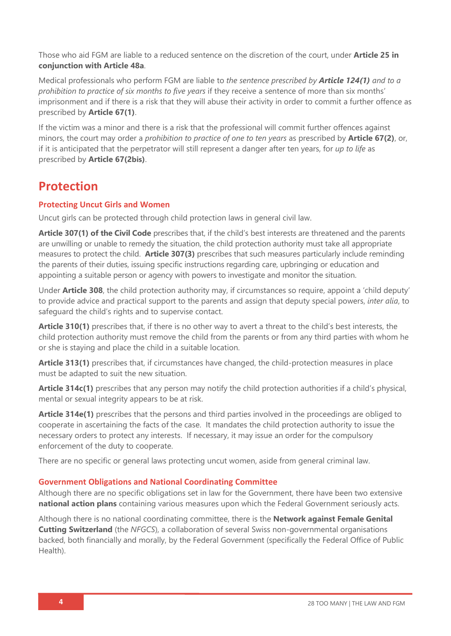Those who aid FGM are liable to a reduced sentence on the discretion of the court, under **Article 25 in conjunction with Article 48a**.

Medical professionals who perform FGM are liable to *the sentence prescribed by Article 124(1) and to a prohibition to practice of six months to five years* if they receive a sentence of more than six months' imprisonment and if there is a risk that they will abuse their activity in order to commit a further offence as prescribed by **Article 67(1)**.

If the victim was a minor and there is a risk that the professional will commit further offences against minors, the court may order a *prohibition to practice of one to ten years* as prescribed by **Article 67(2)**, or, if it is anticipated that the perpetrator will still represent a danger after ten years, for *up to life* as prescribed by **Article 67(2bis)**.

### **Protection**

#### **Protecting Uncut Girls and Women**

Uncut girls can be protected through child protection laws in general civil law.

**Article 307(1) of the Civil Code** prescribes that, if the child's best interests are threatened and the parents are unwilling or unable to remedy the situation, the child protection authority must take all appropriate measures to protect the child. **Article 307(3)** prescribes that such measures particularly include reminding the parents of their duties, issuing specific instructions regarding care, upbringing or education and appointing a suitable person or agency with powers to investigate and monitor the situation.

Under **Article 308**, the child protection authority may, if circumstances so require, appoint a 'child deputy' to provide advice and practical support to the parents and assign that deputy special powers, *inter alia*, to safeguard the child's rights and to supervise contact.

**Article 310(1)** prescribes that, if there is no other way to avert a threat to the child's best interests, the child protection authority must remove the child from the parents or from any third parties with whom he or she is staying and place the child in a suitable location.

**Article 313(1)** prescribes that, if circumstances have changed, the child-protection measures in place must be adapted to suit the new situation.

**Article 314c(1)** prescribes that any person may notify the child protection authorities if a child's physical, mental or sexual integrity appears to be at risk.

**Article 314e(1)** prescribes that the persons and third parties involved in the proceedings are obliged to cooperate in ascertaining the facts of the case. It mandates the child protection authority to issue the necessary orders to protect any interests. If necessary, it may issue an order for the compulsory enforcement of the duty to cooperate.

There are no specific or general laws protecting uncut women, aside from general criminal law.

#### **Government Obligations and National Coordinating Committee**

Although there are no specific obligations set in law for the Government, there have been two extensive **national action plans** containing various measures upon which the Federal Government seriously acts.

Although there is no national coordinating committee, there is the **Network against Female Genital Cutting Switzerland** (the *NFGCS*), a collaboration of several Swiss non-governmental organisations backed, both financially and morally, by the Federal Government (specifically the Federal Office of Public Health).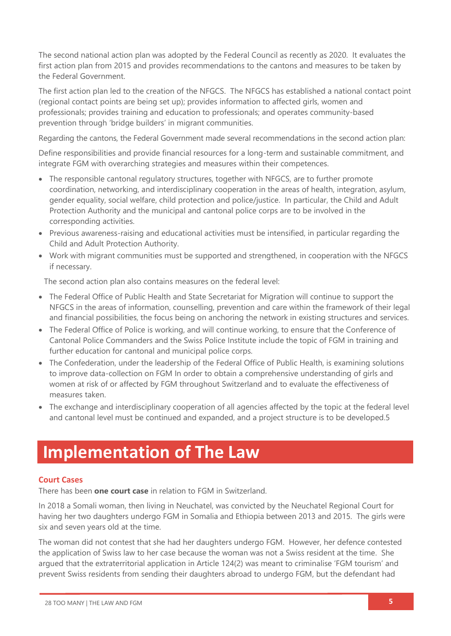The second national action plan was adopted by the Federal Council as recently as 2020. It evaluates the first action plan from 2015 and provides recommendations to the cantons and measures to be taken by the Federal Government.

The first action plan led to the creation of the NFGCS. The NFGCS has established a national contact point (regional contact points are being set up); provides information to affected girls, women and professionals; provides training and education to professionals; and operates community-based prevention through 'bridge builders' in migrant communities.

Regarding the cantons, the Federal Government made several recommendations in the second action plan:

Define responsibilities and provide financial resources for a long-term and sustainable commitment, and integrate FGM with overarching strategies and measures within their competences.

- The responsible cantonal regulatory structures, together with NFGCS, are to further promote coordination, networking, and interdisciplinary cooperation in the areas of health, integration, asylum, gender equality, social welfare, child protection and police/justice. In particular, the Child and Adult Protection Authority and the municipal and cantonal police corps are to be involved in the corresponding activities.
- Previous awareness-raising and educational activities must be intensified, in particular regarding the Child and Adult Protection Authority.
- Work with migrant communities must be supported and strengthened, in cooperation with the NFGCS if necessary.

The second action plan also contains measures on the federal level:

- The Federal Office of Public Health and State Secretariat for Migration will continue to support the NFGCS in the areas of information, counselling, prevention and care within the framework of their legal and financial possibilities, the focus being on anchoring the network in existing structures and services.
- The Federal Office of Police is working, and will continue working, to ensure that the Conference of Cantonal Police Commanders and the Swiss Police Institute include the topic of FGM in training and further education for cantonal and municipal police corps.
- The Confederation, under the leadership of the Federal Office of Public Health, is examining solutions to improve data-collection on FGM In order to obtain a comprehensive understanding of girls and women at risk of or affected by FGM throughout Switzerland and to evaluate the effectiveness of measures taken.
- The exchange and interdisciplinary cooperation of all agencies affected by the topic at the federal level and cantonal level must be continued and expanded, and a project structure is to be developed.5

## **Implementation of The Law**

#### **Court Cases**

There has been **one court case** in relation to FGM in Switzerland.

In 2018 a Somali woman, then living in Neuchatel, was convicted by the Neuchatel Regional Court for having her two daughters undergo FGM in Somalia and Ethiopia between 2013 and 2015. The girls were six and seven years old at the time.

The woman did not contest that she had her daughters undergo FGM. However, her defence contested the application of Swiss law to her case because the woman was not a Swiss resident at the time. She argued that the extraterritorial application in Article 124(2) was meant to criminalise 'FGM tourism' and prevent Swiss residents from sending their daughters abroad to undergo FGM, but the defendant had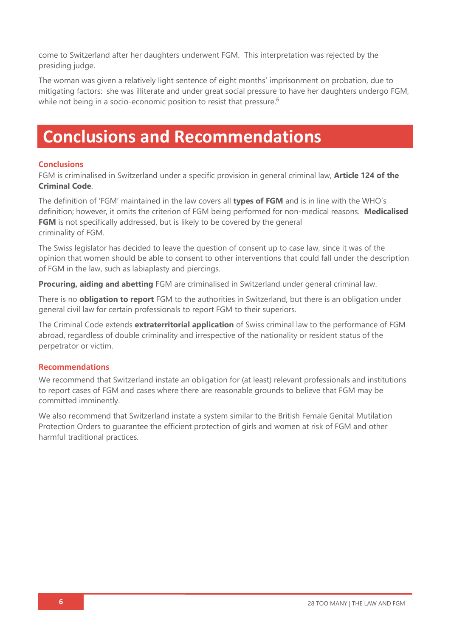come to Switzerland after her daughters underwent FGM. This interpretation was rejected by the presiding judge.

The woman was given a relatively light sentence of eight months' imprisonment on probation, due to mitigating factors: she was illiterate and under great social pressure to have her daughters undergo FGM, while not being in a socio-economic position to resist that pressure.<sup>6</sup>

# **Conclusions and Recommendations**

#### **Conclusions**

FGM is criminalised in Switzerland under a specific provision in general criminal law, **Article 124 of the Criminal Code**.

The definition of 'FGM' maintained in the law covers all **types of FGM** and is in line with the WHO's definition; however, it omits the criterion of FGM being performed for non-medical reasons. **Medicalised FGM** is not specifically addressed, but is likely to be covered by the general criminality of FGM.

The Swiss legislator has decided to leave the question of consent up to case law, since it was of the opinion that women should be able to consent to other interventions that could fall under the description of FGM in the law, such as labiaplasty and piercings.

**Procuring, aiding and abetting** FGM are criminalised in Switzerland under general criminal law.

There is no **obligation to report** FGM to the authorities in Switzerland, but there is an obligation under general civil law for certain professionals to report FGM to their superiors.

The Criminal Code extends **extraterritorial application** of Swiss criminal law to the performance of FGM abroad, regardless of double criminality and irrespective of the nationality or resident status of the perpetrator or victim.

#### **Recommendations**

We recommend that Switzerland instate an obligation for (at least) relevant professionals and institutions to report cases of FGM and cases where there are reasonable grounds to believe that FGM may be committed imminently.

We also recommend that Switzerland instate a system similar to the British Female Genital Mutilation Protection Orders to guarantee the efficient protection of girls and women at risk of FGM and other harmful traditional practices.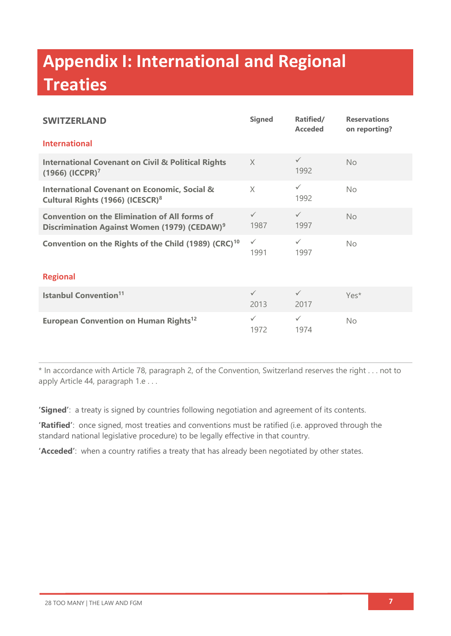# **Appendix I: International and Regional Treaties**

| <b>SWITZERLAND</b>                                                                                               | <b>Signed</b>        | Ratified/<br><b>Acceded</b> | <b>Reservations</b><br>on reporting? |  |  |
|------------------------------------------------------------------------------------------------------------------|----------------------|-----------------------------|--------------------------------------|--|--|
| <b>International</b>                                                                                             |                      |                             |                                      |  |  |
| <b>International Covenant on Civil &amp; Political Rights</b><br>$(1966)$ (ICCPR) <sup>7</sup>                   | $\times$             | $\checkmark$<br>1992        | <b>No</b>                            |  |  |
| <b>International Covenant on Economic, Social &amp;</b><br>Cultural Rights (1966) (ICESCR) <sup>8</sup>          | X                    | $\checkmark$<br>1992        | <b>No</b>                            |  |  |
| <b>Convention on the Elimination of All forms of</b><br>Discrimination Against Women (1979) (CEDAW) <sup>9</sup> | $\checkmark$<br>1987 | $\checkmark$<br>1997        | <b>No</b>                            |  |  |
| Convention on the Rights of the Child (1989) (CRC) <sup>10</sup>                                                 | $\checkmark$<br>1991 | $\checkmark$<br>1997        | No.                                  |  |  |
| <b>Regional</b>                                                                                                  |                      |                             |                                      |  |  |
| <b>Istanbul Convention<sup>11</sup></b>                                                                          | $\checkmark$<br>2013 | $\checkmark$<br>2017        | Yes*                                 |  |  |
| <b>European Convention on Human Rights<sup>12</sup></b>                                                          | $\checkmark$<br>1972 | $\checkmark$<br>1974        | No.                                  |  |  |

\* In accordance with Article 78, paragraph 2, of the Convention, Switzerland reserves the right . . . not to apply Article 44, paragraph 1.e . . .

**'Signed'**: a treaty is signed by countries following negotiation and agreement of its contents.

**'Ratified'**: once signed, most treaties and conventions must be ratified (i.e. approved through the standard national legislative procedure) to be legally effective in that country.

**'Acceded'**: when a country ratifies a treaty that has already been negotiated by other states.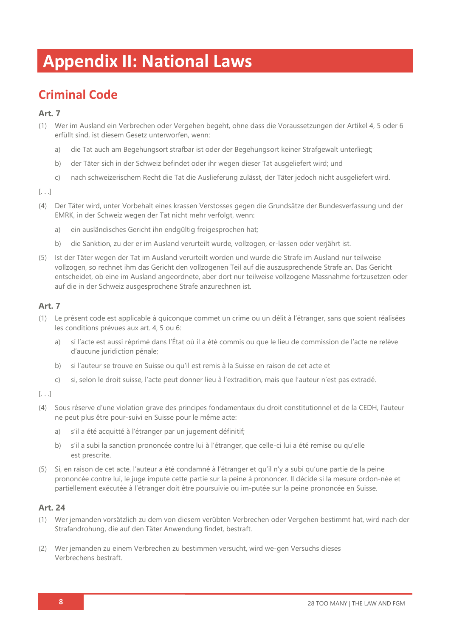# **Appendix II: National Laws**

### **Criminal Code**

#### **Art. 7**

- (1) Wer im Ausland ein Verbrechen oder Vergehen begeht, ohne dass die Voraussetzungen der Artikel 4, 5 oder 6 erfüllt sind, ist diesem Gesetz unterworfen, wenn:
	- a) die Tat auch am Begehungsort strafbar ist oder der Begehungsort keiner Strafgewalt unterliegt;
	- b) der Täter sich in der Schweiz befindet oder ihr wegen dieser Tat ausgeliefert wird; und
	- c) nach schweizerischem Recht die Tat die Auslieferung zulässt, der Täter jedoch nicht ausgeliefert wird.

[. . .]

- (4) Der Täter wird, unter Vorbehalt eines krassen Verstosses gegen die Grundsätze der Bundesverfassung und der EMRK, in der Schweiz wegen der Tat nicht mehr verfolgt, wenn:
	- a) ein ausländisches Gericht ihn endgültig freigesprochen hat;
	- b) die Sanktion, zu der er im Ausland verurteilt wurde, vollzogen, er-lassen oder verjährt ist.
- (5) Ist der Täter wegen der Tat im Ausland verurteilt worden und wurde die Strafe im Ausland nur teilweise vollzogen, so rechnet ihm das Gericht den vollzogenen Teil auf die auszusprechende Strafe an. Das Gericht entscheidet, ob eine im Ausland angeordnete, aber dort nur teilweise vollzogene Massnahme fortzusetzen oder auf die in der Schweiz ausgesprochene Strafe anzurechnen ist.

#### **Art. 7**

- (1) Le présent code est applicable à quiconque commet un crime ou un délit à l'étranger, sans que soient réalisées les conditions prévues aux art. 4, 5 ou 6:
	- a) si l'acte est aussi réprimé dans l'État où il a été commis ou que le lieu de commission de l'acte ne relève d'aucune juridiction pénale;
	- b) si l'auteur se trouve en Suisse ou qu'il est remis à la Suisse en raison de cet acte et
	- c) si, selon le droit suisse, l'acte peut donner lieu à l'extradition, mais que l'auteur n'est pas extradé.

[. . .]

- (4) Sous réserve d'une violation grave des principes fondamentaux du droit constitutionnel et de la CEDH, l'auteur ne peut plus être pour-suivi en Suisse pour le même acte:
	- a) s'il a été acquitté à l'étranger par un jugement définitif;
	- b) s'il a subi la sanction prononcée contre lui à l'étranger, que celle-ci lui a été remise ou qu'elle est prescrite.
- (5) Si, en raison de cet acte, l'auteur a été condamné à l'étranger et qu'il n'y a subi qu'une partie de la peine prononcée contre lui, le juge impute cette partie sur la peine à prononcer. Il décide si la mesure ordon-née et partiellement exécutée à l'étranger doit être poursuivie ou im-putée sur la peine prononcée en Suisse.

#### **Art. 24**

- (1) Wer jemanden vorsätzlich zu dem von diesem verübten Verbrechen oder Vergehen bestimmt hat, wird nach der Strafandrohung, die auf den Täter Anwendung findet, bestraft.
- (2) Wer jemanden zu einem Verbrechen zu bestimmen versucht, wird we-gen Versuchs dieses Verbrechens bestraft.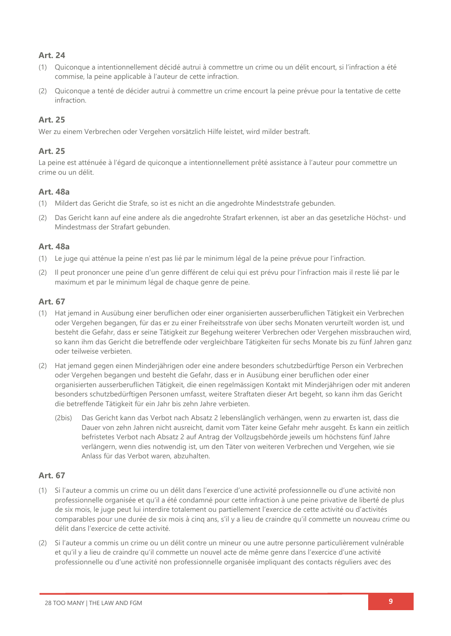#### **Art. 24**

- (1) Quiconque a intentionnellement décidé autrui à commettre un crime ou un délit encourt, si l'infraction a été commise, la peine applicable à l'auteur de cette infraction.
- (2) Quiconque a tenté de décider autrui à commettre un crime encourt la peine prévue pour la tentative de cette infraction.

#### **Art. 25**

Wer zu einem Verbrechen oder Vergehen vorsätzlich Hilfe leistet, wird milder bestraft.

#### **Art. 25**

La peine est atténuée à l'égard de quiconque a intentionnellement prêté assistance à l'auteur pour commettre un crime ou un délit.

#### **Art. 48a**

- (1) Mildert das Gericht die Strafe, so ist es nicht an die angedrohte Mindeststrafe gebunden.
- (2) Das Gericht kann auf eine andere als die angedrohte Strafart erkennen, ist aber an das gesetzliche Höchst- und Mindestmass der Strafart gebunden.

#### **Art. 48a**

- (1) Le juge qui atténue la peine n'est pas lié par le minimum légal de la peine prévue pour l'infraction.
- (2) Il peut prononcer une peine d'un genre différent de celui qui est prévu pour l'infraction mais il reste lié par le maximum et par le minimum légal de chaque genre de peine.

#### **Art. 67**

- (1) Hat jemand in Ausübung einer beruflichen oder einer organisierten ausserberuflichen Tätigkeit ein Verbrechen oder Vergehen begangen, für das er zu einer Freiheitsstrafe von über sechs Monaten verurteilt worden ist, und besteht die Gefahr, dass er seine Tätigkeit zur Begehung weiterer Verbrechen oder Vergehen missbrauchen wird, so kann ihm das Gericht die betreffende oder vergleichbare Tätigkeiten für sechs Monate bis zu fünf Jahren ganz oder teilweise verbieten.
- (2) Hat jemand gegen einen Minderjährigen oder eine andere besonders schutzbedürftige Person ein Verbrechen oder Vergehen begangen und besteht die Gefahr, dass er in Ausübung einer beruflichen oder einer organisierten ausserberuflichen Tätigkeit, die einen regelmässigen Kontakt mit Minderjährigen oder mit anderen besonders schutzbedürftigen Personen umfasst, weitere Straftaten dieser Art begeht, so kann ihm das Gericht die betreffende Tätigkeit für ein Jahr bis zehn Jahre verbieten.
	- (2bis) Das Gericht kann das Verbot nach Absatz 2 lebenslänglich verhängen, wenn zu erwarten ist, dass die Dauer von zehn Jahren nicht ausreicht, damit vom Täter keine Gefahr mehr ausgeht. Es kann ein zeitlich befristetes Verbot nach Absatz 2 auf Antrag der Vollzugsbehörde jeweils um höchstens fünf Jahre verlängern, wenn dies notwendig ist, um den Täter von weiteren Verbrechen und Vergehen, wie sie Anlass für das Verbot waren, abzuhalten.

#### **Art. 67**

- (1) Si l'auteur a commis un crime ou un délit dans l'exercice d'une activité professionnelle ou d'une activité non professionnelle organisée et qu'il a été condamné pour cette infraction à une peine privative de liberté de plus de six mois, le juge peut lui interdire totalement ou partiellement l'exercice de cette activité ou d'activités comparables pour une durée de six mois à cinq ans, s'il y a lieu de craindre qu'il commette un nouveau crime ou délit dans l'exercice de cette activité.
- (2) Si l'auteur a commis un crime ou un délit contre un mineur ou une autre personne particulièrement vulnérable et qu'il y a lieu de craindre qu'il commette un nouvel acte de même genre dans l'exercice d'une activité professionnelle ou d'une activité non professionnelle organisée impliquant des contacts réguliers avec des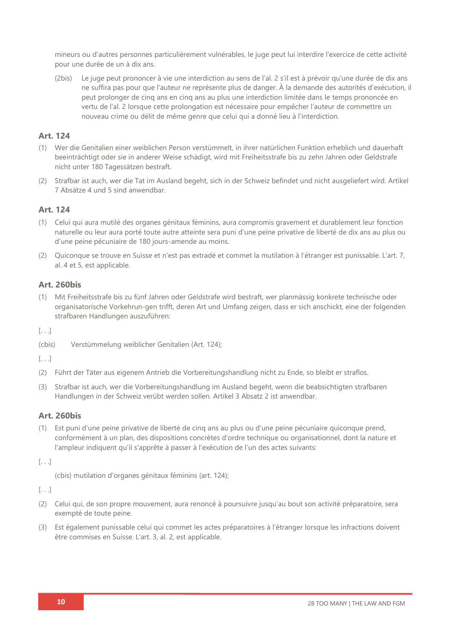mineurs ou d'autres personnes particulièrement vulnérables, le juge peut lui interdire l'exercice de cette activité pour une durée de un à dix ans.

(2bis) Le juge peut prononcer à vie une interdiction au sens de l'al. 2 s'il est à prévoir qu'une durée de dix ans ne suffira pas pour que l'auteur ne représente plus de danger. À la demande des autorités d'exécution, il peut prolonger de cinq ans en cinq ans au plus une interdiction limitée dans le temps prononcée en vertu de l'al. 2 lorsque cette prolongation est nécessaire pour empêcher l'auteur de commettre un nouveau crime ou délit de même genre que celui qui a donné lieu à l'interdiction.

#### **Art. 124**

- (1) Wer die Genitalien einer weiblichen Person verstümmelt, in ihrer natürlichen Funktion erheblich und dauerhaft beeinträchtigt oder sie in anderer Weise schädigt, wird mit Freiheitsstrafe bis zu zehn Jahren oder Geldstrafe nicht unter 180 Tagessätzen bestraft.
- (2) Strafbar ist auch, wer die Tat im Ausland begeht, sich in der Schweiz befindet und nicht ausgeliefert wird. Artikel 7 Absätze 4 und 5 sind anwendbar.

#### **Art. 124**

- (1) Celui qui aura mutilé des organes génitaux féminins, aura compromis gravement et durablement leur fonction naturelle ou leur aura porté toute autre atteinte sera puni d'une peine privative de liberté de dix ans au plus ou d'une peine pécuniaire de 180 jours-amende au moins.
- (2) Quiconque se trouve en Suisse et n'est pas extradé et commet la mutilation à l'étranger est punissable. L'art. 7, al. 4 et 5, est applicable.

#### **Art. 260bis**

(1) Mit Freiheitsstrafe bis zu fünf Jahren oder Geldstrafe wird bestraft, wer planmässig konkrete technische oder organisatorische Vorkehrun-gen trifft, deren Art und Umfang zeigen, dass er sich anschickt, eine der folgenden strafbaren Handlungen auszuführen:

[. . .]

(cbis) Verstümmelung weiblicher Genitalien (Art. 124);

 $[. \ . \ .]$ 

- (2) Führt der Täter aus eigenem Antrieb die Vorbereitungshandlung nicht zu Ende, so bleibt er straflos.
- (3) Strafbar ist auch, wer die Vorbereitungshandlung im Ausland begeht, wenn die beabsichtigten strafbaren Handlungen in der Schweiz verübt werden sollen. Artikel 3 Absatz 2 ist anwendbar.

#### **Art. 260bis**

(1) Est puni d'une peine privative de liberté de cinq ans au plus ou d'une peine pécuniaire quiconque prend, conformément à un plan, des dispositions concrètes d'ordre technique ou organisationnel, dont la nature et l'ampleur indiquent qu'il s'apprête à passer à l'exécution de l'un des actes suivants:

[. . .]

(cbis) mutilation d'organes génitaux féminins (art. 124);

[. . .]

- (2) Celui qui, de son propre mouvement, aura renoncé à poursuivre jusqu'au bout son activité préparatoire, sera exempté de toute peine.
- (3) Est également punissable celui qui commet les actes préparatoires à l'étranger lorsque les infractions doivent être commises en Suisse. L'art. 3, al. 2, est applicable.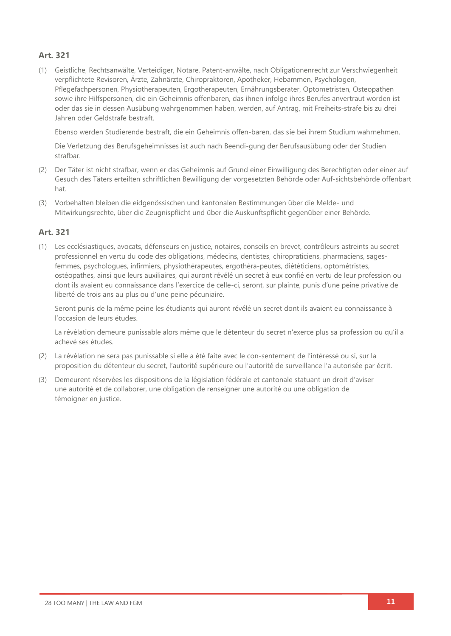#### **Art. 321**

(1) Geistliche, Rechtsanwälte, Verteidiger, Notare, Patent-anwälte, nach Obligationenrecht zur Verschwiegenheit verpflichtete Revisoren, Ärzte, Zahnärzte, Chiropraktoren, Apotheker, Hebammen, Psychologen, Pflegefachpersonen, Physiotherapeuten, Ergotherapeuten, Ernährungsberater, Optometristen, Osteopathen sowie ihre Hilfspersonen, die ein Geheimnis offenbaren, das ihnen infolge ihres Berufes anvertraut worden ist oder das sie in dessen Ausübung wahrgenommen haben, werden, auf Antrag, mit Freiheits-strafe bis zu drei Jahren oder Geldstrafe bestraft.

Ebenso werden Studierende bestraft, die ein Geheimnis offen-baren, das sie bei ihrem Studium wahrnehmen.

Die Verletzung des Berufsgeheimnisses ist auch nach Beendi-gung der Berufsausübung oder der Studien strafbar.

- (2) Der Täter ist nicht strafbar, wenn er das Geheimnis auf Grund einer Einwilligung des Berechtigten oder einer auf Gesuch des Täters erteilten schriftlichen Bewilligung der vorgesetzten Behörde oder Auf-sichtsbehörde offenbart hat.
- (3) Vorbehalten bleiben die eidgenössischen und kantonalen Bestimmungen über die Melde- und Mitwirkungsrechte, über die Zeugnispflicht und über die Auskunftspflicht gegenüber einer Behörde.

#### **Art. 321**

(1) Les ecclésiastiques, avocats, défenseurs en justice, notaires, conseils en brevet, contrôleurs astreints au secret professionnel en vertu du code des obligations, médecins, dentistes, chiropraticiens, pharmaciens, sagesfemmes, psychologues, infirmiers, physiothérapeutes, ergothéra-peutes, diététiciens, optométristes, ostéopathes, ainsi que leurs auxiliaires, qui auront révélé un secret à eux confié en vertu de leur profession ou dont ils avaient eu connaissance dans l'exercice de celle-ci, seront, sur plainte, punis d'une peine privative de liberté de trois ans au plus ou d'une peine pécuniaire.

Seront punis de la même peine les étudiants qui auront révélé un secret dont ils avaient eu connaissance à l'occasion de leurs études.

La révélation demeure punissable alors même que le détenteur du secret n'exerce plus sa profession ou qu'il a achevé ses études.

- (2) La révélation ne sera pas punissable si elle a été faite avec le con-sentement de l'intéressé ou si, sur la proposition du détenteur du secret, l'autorité supérieure ou l'autorité de surveillance l'a autorisée par écrit.
- (3) Demeurent réservées les dispositions de la législation fédérale et cantonale statuant un droit d'aviser une autorité et de collaborer, une obligation de renseigner une autorité ou une obligation de témoigner en justice.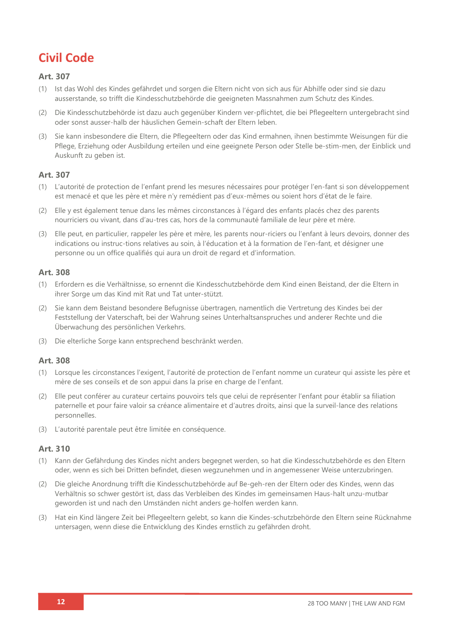## **Civil Code**

#### **Art. 307**

- (1) Ist das Wohl des Kindes gefährdet und sorgen die Eltern nicht von sich aus für Abhilfe oder sind sie dazu ausserstande, so trifft die Kindesschutzbehörde die geeigneten Massnahmen zum Schutz des Kindes.
- (2) Die Kindesschutzbehörde ist dazu auch gegenüber Kindern ver-pflichtet, die bei Pflegeeltern untergebracht sind oder sonst ausser-halb der häuslichen Gemein-schaft der Eltern leben.
- (3) Sie kann insbesondere die Eltern, die Pflegeeltern oder das Kind ermahnen, ihnen bestimmte Weisungen für die Pflege, Erziehung oder Ausbildung erteilen und eine geeignete Person oder Stelle be-stim-men, der Einblick und Auskunft zu geben ist.

#### **Art. 307**

- (1) L'autorité de protection de l'enfant prend les mesures nécessaires pour protéger l'en-fant si son développement est menacé et que les père et mère n'y remédient pas d'eux-mêmes ou soient hors d'état de le faire.
- (2) Elle y est également tenue dans les mêmes circonstances à l'égard des enfants placés chez des parents nourriciers ou vivant, dans d'autres cas, hors de la communauté familiale de leur père et mère.
- (3) Elle peut, en particulier, rappeler les père et mère, les parents nourriciers ou l'enfant à leurs devoirs, donner des indications ou instruc-tions relatives au soin, à l'éducation et à la formation de l'en-fant, et désigner une personne ou un office qualifiés qui aura un droit de regard et d'information.

#### **Art. 308**

- (1) Erfordern es die Verhältnisse, so ernennt die Kindesschutzbehörde dem Kind einen Beistand, der die Eltern in ihrer Sorge um das Kind mit Rat und Tat unter-stützt.
- (2) Sie kann dem Beistand besondere Befugnisse übertragen, namentlich die Vertretung des Kindes bei der Feststellung der Vaterschaft, bei der Wahrung seines Unterhaltsanspruches und anderer Rechte und die Überwachung des persönlichen Verkehrs.
- (3) Die elterliche Sorge kann entsprechend beschränkt werden.

#### **Art. 308**

- (1) Lorsque les circonstances l'exigent, l'autorité de protection de l'enfant nomme un curateur qui assiste les père et mère de ses conseils et de son appui dans la prise en charge de l'enfant.
- (2) Elle peut conférer au curateur certains pouvoirs tels que celui de représenter l'enfant pour établir sa filiation paternelle et pour faire valoir sa créance alimentaire et d'autres droits, ainsi que la surveil-lance des relations personnelles.
- (3) L'autorité parentale peut être limitée en conséquence.

#### **Art. 310**

- (1) Kann der Gefährdung des Kindes nicht anders begegnet werden, so hat die Kindesschutzbehörde es den Eltern oder, wenn es sich bei Dritten befindet, diesen wegzunehmen und in angemessener Weise unterzubringen.
- (2) Die gleiche Anordnung trifft die Kindesschutzbehörde auf Be-geh-ren der Eltern oder des Kindes, wenn das Verhältnis so schwer gestört ist, dass das Verbleiben des Kindes im gemeinsamen Haus-halt unzu-mutbar geworden ist und nach den Umständen nicht anders ge-holfen werden kann.
- (3) Hat ein Kind längere Zeit bei Pflegeeltern gelebt, so kann die Kindes-schutzbehörde den Eltern seine Rücknahme untersagen, wenn diese die Entwicklung des Kindes ernstlich zu gefährden droht.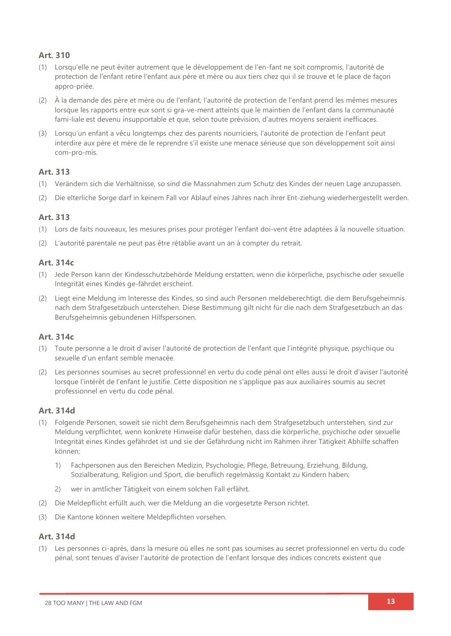#### **Art. 310**

- (1) Lorsqu'elle ne peut éviter autrement que le développement de l'en-fant ne soit compromis, l'autorité de protection de l'enfant retire l'enfant aux père et mère ou aux tiers chez qui il se trouve et le place de façon appro-priée.
- (2) À la demande des père et mère ou de l'enfant, l'autorité de protection de l'enfant prend les mêmes mesures lorsque les rapports entre eux sont si gra-ve-ment atteints que le maintien de l'enfant dans la communauté familiale est devenu insupportable et que, selon toute prévision, d'autres moyens seraient inefficaces.
- (3) Lorsqu'un enfant a vécu longtemps chez des parents nourriciers, l'autorité de protection de l'enfant peut interdire aux père et mère de le reprendre s'il existe une menace sérieuse que son développement soit ainsi com-pro-mis.

#### **Art. 313**

- (1) Verändern sich die Verhältnisse, so sind die Massnahmen zum Schutz des Kindes der neuen Lage anzupassen.
- (2) Die elterliche Sorge darf in keinem Fall vor Ablauf eines Jahres nach ihrer Ent-ziehung wiederhergestellt werden.

#### **Art. 313**

- (1) Lors de faits nouveaux, les mesures prises pour protéger l'enfant doi-vent être adaptées à la nouvelle situation.
- L'autorité parentale ne peut pas être rétablie avant un an à compter du retrait.

#### **Art. 314c**

- (1) Jede Person kann der Kindesschutzbehörde Meldung erstatten, wenn die körperliche, psychische oder sexuelle Integrität eines Kindes ge-fährdet erscheint.
- (2) Liegt eine Meldung im Interesse des Kindes, so sind auch Personen meldeberechtigt, die dem Berufsgeheimnis nach dem Strafgesetzbuch unterstehen. Diese Bestimmung gilt nicht für die nach dem Strafgesetzbuch an das Berufsgeheimnis gebundenen Hilfspersonen.

#### **Art. 314c**

- (1) Toute personne a le droit d'aviser l'autorité de protection de l'enfant que l'intégrité physique, psychique ou sexuelle d'un enfant semble menacée.
- (2) Les personnes soumises au secret professionnel en vertu du code pénal ont elles aussi le droit d'aviser l'autorité lorsque l'intérêt de l'enfant le justifie. Cette disposition ne s'applique pas aux auxiliaires soumis au secret professionnel en vertu du code pénal.

#### **Art. 314d**

- (1) Folgende Personen, soweit sie nicht dem Berufsgeheimnis nach dem Strafgesetzbuch unterstehen, sind zur Meldung verpflichtet, wenn konkrete Hinweise dafür bestehen, dass die körperliche, psychische oder sexuelle Integrität eines Kindes gefährdet ist und sie der Gefährdung nicht im Rahmen ihrer Tätigkeit Abhilfe schaffen können:
	- 1) Fachpersonen aus den Bereichen Medizin, Psychologie, Pflege, Betreuung, Erziehung, Bildung, Sozialberatung, Religion und Sport, die beruflich regelmässig Kontakt zu Kindern haben;
	- 2) wer in amtlicher Tätigkeit von einem solchen Fall erfährt.
- (2) Die Meldepflicht erfüllt auch, wer die Meldung an die vorgesetzte Person richtet.
- (3) Die Kantone können weitere Meldepflichten vorsehen.

#### **Art. 314d**

(1) Les personnes ci-après, dans la mesure où elles ne sont pas soumises au secret professionnel en vertu du code pénal, sont tenues d'aviser l'autorité de protection de l'enfant lorsque des indices concrets existent que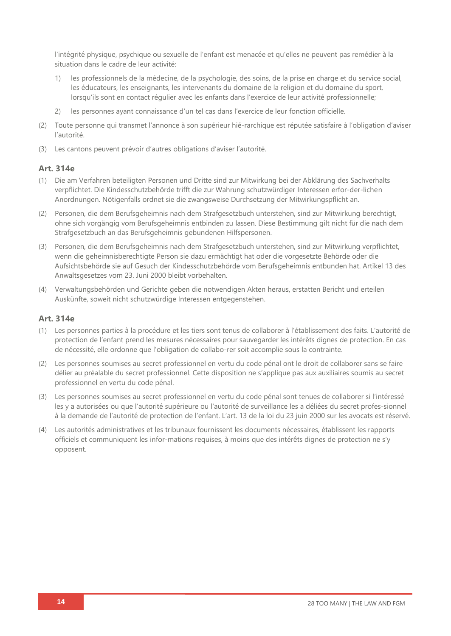l'intégrité physique, psychique ou sexuelle de l'enfant est menacée et qu'elles ne peuvent pas remédier à la situation dans le cadre de leur activité:

- 1) les professionnels de la médecine, de la psychologie, des soins, de la prise en charge et du service social, les éducateurs, les enseignants, les intervenants du domaine de la religion et du domaine du sport, lorsqu'ils sont en contact régulier avec les enfants dans l'exercice de leur activité professionnelle;
- 2) les personnes ayant connaissance d'un tel cas dans l'exercice de leur fonction officielle.
- (2) Toute personne qui transmet l'annonce à son supérieur hié-rarchique est réputée satisfaire à l'obligation d'aviser l'autorité.
- (3) Les cantons peuvent prévoir d'autres obligations d'aviser l'autorité.

#### **Art. 314e**

- (1) Die am Verfahren beteiligten Personen und Dritte sind zur Mitwirkung bei der Abklärung des Sachverhalts verpflichtet. Die Kindesschutzbehörde trifft die zur Wahrung schutzwürdiger Interessen erfor-der-lichen Anordnungen. Nötigenfalls ordnet sie die zwangsweise Durchsetzung der Mitwirkungspflicht an.
- (2) Personen, die dem Berufsgeheimnis nach dem Strafgesetzbuch unterstehen, sind zur Mitwirkung berechtigt, ohne sich vorgängig vom Berufsgeheimnis entbinden zu lassen. Diese Bestimmung gilt nicht für die nach dem Strafgesetzbuch an das Berufsgeheimnis gebundenen Hilfspersonen.
- (3) Personen, die dem Berufsgeheimnis nach dem Strafgesetzbuch unterstehen, sind zur Mitwirkung verpflichtet, wenn die geheimnisberechtigte Person sie dazu ermächtigt hat oder die vorgesetzte Behörde oder die Aufsichtsbehörde sie auf Gesuch der Kindesschutzbehörde vom Berufsgeheimnis entbunden hat. Artikel 13 des Anwaltsgesetzes vom 23. Juni 2000 bleibt vorbehalten.
- (4) Verwaltungsbehörden und Gerichte geben die notwendigen Akten heraus, erstatten Bericht und erteilen Auskünfte, soweit nicht schutzwürdige Interessen entgegenstehen.

#### **Art. 314e**

- (1) Les personnes parties à la procédure et les tiers sont tenus de collaborer à l'établissement des faits. L'autorité de protection de l'enfant prend les mesures nécessaires pour sauvegarder les intérêts dignes de protection. En cas de nécessité, elle ordonne que l'obligation de collabo-rer soit accomplie sous la contrainte.
- (2) Les personnes soumises au secret professionnel en vertu du code pénal ont le droit de collaborer sans se faire délier au préalable du secret professionnel. Cette disposition ne s'applique pas aux auxiliaires soumis au secret professionnel en vertu du code pénal.
- (3) Les personnes soumises au secret professionnel en vertu du code pénal sont tenues de collaborer si l'intéressé les y a autorisées ou que l'autorité supérieure ou l'autorité de surveillance les a déliées du secret profes-sionnel à la demande de l'autorité de protection de l'enfant. L'art. 13 de la loi du 23 juin 2000 sur les avocats est réservé.
- (4) Les autorités administratives et les tribunaux fournissent les documents nécessaires, établissent les rapports officiels et communiquent les infor-mations requises, à moins que des intérêts dignes de protection ne s'y opposent.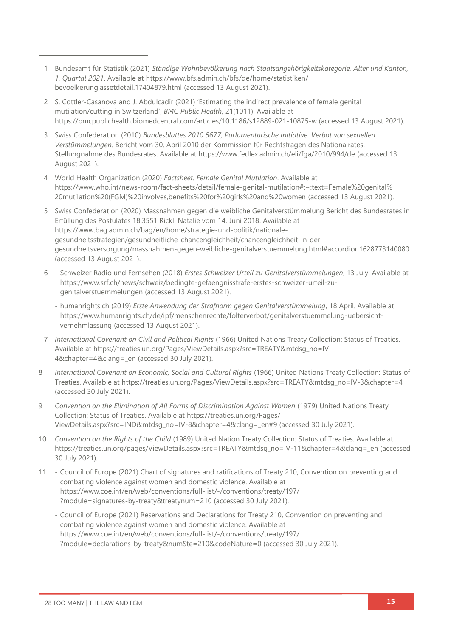- 1 Bundesamt für Statistik (2021) *Ständige Wohnbevölkerung nach Staatsangehörigkeitskategorie, Alter und Kanton, 1. Quartal 2021*. Available at [https://www.bfs.admin.ch/bfs/de/home/statistiken/](https://www.bfs.admin.ch/bfs/de/home/statistiken/%0bbevoelkerung.assetdetail.17404879.html) [bevoelkerung.assetdetail.17404879.html](https://www.bfs.admin.ch/bfs/de/home/statistiken/%0bbevoelkerung.assetdetail.17404879.html) (accessed 13 August 2021).
- 2 S. Cottler-Casanova and J. Abdulcadir (2021) 'Estimating the indirect prevalence of female genital mutilation/cutting in Switzerland', *BMC Public Health*, 21(1011). Available at <https://bmcpublichealth.biomedcentral.com/articles/10.1186/s12889-021-10875-w> (accessed 13 August 2021).
- 3 Swiss Confederation (2010) *Bundesblattes 2010 5677, Parlamentarische Initiative. Verbot von sexuellen Verstümmelungen*. Bericht vom 30. April 2010 der Kommission für Rechtsfragen des Nationalrates. Stellungnahme des Bundesrates. Available at<https://www.fedlex.admin.ch/eli/fga/2010/994/de> (accessed 13 August 2021).
- 4 World Health Organization (2020) *Factsheet: Female Genital Mutilation*. Available at [https://www.who.int/news-room/fact-sheets/detail/female-genital-mutilation#:~:text=Female%20genital%](https://www.who.int/news-room/fact-sheets/detail/female-genital-mutilation#:~:text=Female%20genital%20mutilation%20(FGM)%20involves,benefits%20for%20girls%20and%20women) [20mutilation%20\(FGM\)%20involves,benefits%20for%20girls%20and%20women](https://www.who.int/news-room/fact-sheets/detail/female-genital-mutilation#:~:text=Female%20genital%20mutilation%20(FGM)%20involves,benefits%20for%20girls%20and%20women) (accessed 13 August 2021).
- 5 Swiss Confederation (2020) Massnahmen gegen die weibliche Genitalverstümmelung Bericht des Bundesrates in Erfüllung des Postulates 18.3551 Rickli Natalie vom 14. Juni 2018. Available at [https://www.bag.admin.ch/bag/en/home/strategie-und-politik/nationale](https://www.bag.admin.ch/bag/en/home/strategie-und-politik/nationale-gesundheitsstrategien/gesundheitliche-chancengleichheit/chancengleichheit-in-der-gesundheitsversorgung/massnahmen-gegen-weibliche-genitalverstuemmelung.html#accordion1628773140080)[gesundheitsstrategien/gesundheitliche-chancengleichheit/chancengleichheit-in-der](https://www.bag.admin.ch/bag/en/home/strategie-und-politik/nationale-gesundheitsstrategien/gesundheitliche-chancengleichheit/chancengleichheit-in-der-gesundheitsversorgung/massnahmen-gegen-weibliche-genitalverstuemmelung.html#accordion1628773140080)[gesundheitsversorgung/massnahmen-gegen-weibliche-genitalverstuemmelung.html#accordion1628773140080](https://www.bag.admin.ch/bag/en/home/strategie-und-politik/nationale-gesundheitsstrategien/gesundheitliche-chancengleichheit/chancengleichheit-in-der-gesundheitsversorgung/massnahmen-gegen-weibliche-genitalverstuemmelung.html#accordion1628773140080) (accessed 13 August 2021).
- 6 Schweizer Radio und Fernsehen (2018) *Erstes Schweizer Urteil zu Genitalverstümmelungen*, 13 July. Available at [https://www.srf.ch/news/schweiz/bedingte-gefaengnisstrafe-erstes-schweizer-urteil-zu](https://www.srf.ch/news/schweiz/bedingte-gefaengnisstrafe-erstes-schweizer-urteil-zu-genitalverstuemmelungen)[genitalverstuemmelungen](https://www.srf.ch/news/schweiz/bedingte-gefaengnisstrafe-erstes-schweizer-urteil-zu-genitalverstuemmelungen) (accessed 13 August 2021).
	- humanrights.ch (2019) *Erste Anwendung der Strafnorm gegen Genitalverstümmelung*, 18 April. Available at [https://www.humanrights.ch/de/ipf/menschenrechte/folterverbot/genitalverstuemmelung-uebersicht](https://www.humanrights.ch/de/ipf/menschenrechte/folterverbot/genitalverstuemmelung-uebersicht-vernehmlassung)[vernehmlassung](https://www.humanrights.ch/de/ipf/menschenrechte/folterverbot/genitalverstuemmelung-uebersicht-vernehmlassung) (accessed 13 August 2021).
- 7 *International Covenant on Civil and Political Rights* (1966) United Nations Treaty Collection: Status of Treaties*.* Available at [https://treaties.un.org/Pages/ViewDetails.aspx?src=TREATY&mtdsg\\_no=IV-](https://treaties.un.org/Pages/ViewDetails.aspx?src=TREATY&mtdsg_no=IV-4&chapter=4&clang=_en)4&chapter=4&clang= en (accessed 30 July 2021).
- 8 *International Covenant on Economic, Social and Cultural Rights* (1966) United Nations Treaty Collection: Status of Treaties. Available at [https://treaties.un.org/Pages/ViewDetails.aspx?src=TREATY&mtdsg\\_no=IV-3&chapter=4](https://treaties.un.org/Pages/ViewDetails.aspx?src=TREATY&mtdsg_no=IV-3&chapter=4) (accessed 30 July 2021).
- 9 *Convention on the Elimination of All Forms of Discrimination Against Women* (1979) United Nations Treaty Collection: Status of Treaties. Available at [https://treaties.un.org/Pages/](https://treaties.un.org/Pages/%0bViewDetails.aspx?src=IND&mtdsg_no=IV-8&chapter=4&clang=_en#9) [ViewDetails.aspx?src=IND&mtdsg\\_no=IV-8&chapter=4&clang=\\_en#9](https://treaties.un.org/Pages/%0bViewDetails.aspx?src=IND&mtdsg_no=IV-8&chapter=4&clang=_en#9) (accessed 30 July 2021).
- 10 *Convention on the Rights of the Child* (1989) United Nation Treaty Collection: Status of Treaties. Available at [https://treaties.un.org/pages/ViewDetails.aspx?src=TREATY&mtdsg\\_no=IV-11&chapter=4&clang=\\_en](https://treaties.un.org/pages/ViewDetails.aspx?src=TREATY&mtdsg_no=IV-11&chapter=4&clang=_en) (accessed 30 July 2021).
- 11 Council of Europe (2021) Chart of signatures and ratifications of Treaty 210, Convention on preventing and combating violence against women and domestic violence. Available at [https://www.coe.int/en/web/conventions/full-list/-/conventions/treaty/197/](https://www.coe.int/en/web/conventions/full-list/-/conventions/treaty/197/?module=signatures-by-treaty&treatynum=210) [?module=signatures-by-treaty&treatynum=210](https://www.coe.int/en/web/conventions/full-list/-/conventions/treaty/197/?module=signatures-by-treaty&treatynum=210) (accessed 30 July 2021).
	- Council of Europe (2021) Reservations and Declarations for Treaty 210, Convention on preventing and combating violence against women and domestic violence. Available at [https://www.coe.int/en/web/conventions/full-list/-/conventions/treaty/197/](https://www.coe.int/en/web/conventions/full-list/-/conventions/treaty/197/?module=declarations-by-treaty&numSte=210&codeNature=0) [?module=declarations-by-treaty&numSte=210&codeNature=0](https://www.coe.int/en/web/conventions/full-list/-/conventions/treaty/197/?module=declarations-by-treaty&numSte=210&codeNature=0) (accessed 30 July 2021).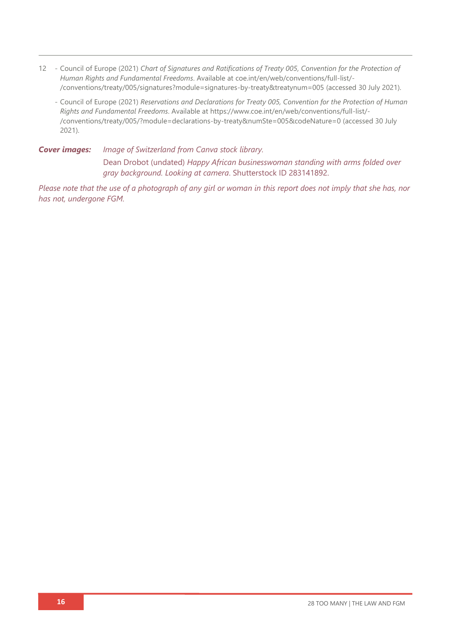- 12 Council of Europe (2021) *Chart of Signatures and Ratifications of Treaty 005, Convention for the Protection of Human Rights and Fundamental Freedoms*. Available at [coe.int/en/web/conventions/full-list/-](coe.int/en/web/conventions/full-list/-/conventions/treaty/005/signatures?module=signatures-by-treaty&treatynum=005) [/conventions/treaty/005/signatures?module=signatures-by-treaty&treatynum=005](coe.int/en/web/conventions/full-list/-/conventions/treaty/005/signatures?module=signatures-by-treaty&treatynum=005) (accessed 30 July 2021).
	- Council of Europe (2021) *Reservations and Declarations for Treaty 005, Convention for the Protection of Human Rights and Fundamental Freedoms*. Available at [https://www.coe.int/en/web/conventions/full-list/-](https://www.coe.int/en/web/conventions/full-list/-/conventions/treaty/005/?module=declarations-by-treaty&numSte=005&codeNature=0) [/conventions/treaty/005/?module=declarations-by-treaty&numSte=005&codeNature=0](https://www.coe.int/en/web/conventions/full-list/-/conventions/treaty/005/?module=declarations-by-treaty&numSte=005&codeNature=0) (accessed 30 July 2021).

*Cover images: Image of Switzerland from Canva stock library.*  Dean Drobot (undated) *Happy African businesswoman standing with arms folded over gray background. Looking at camera*. Shutterstock ID 283141892.

*Please note that the use of a photograph of any girl or woman in this report does not imply that she has, nor has not, undergone FGM.*